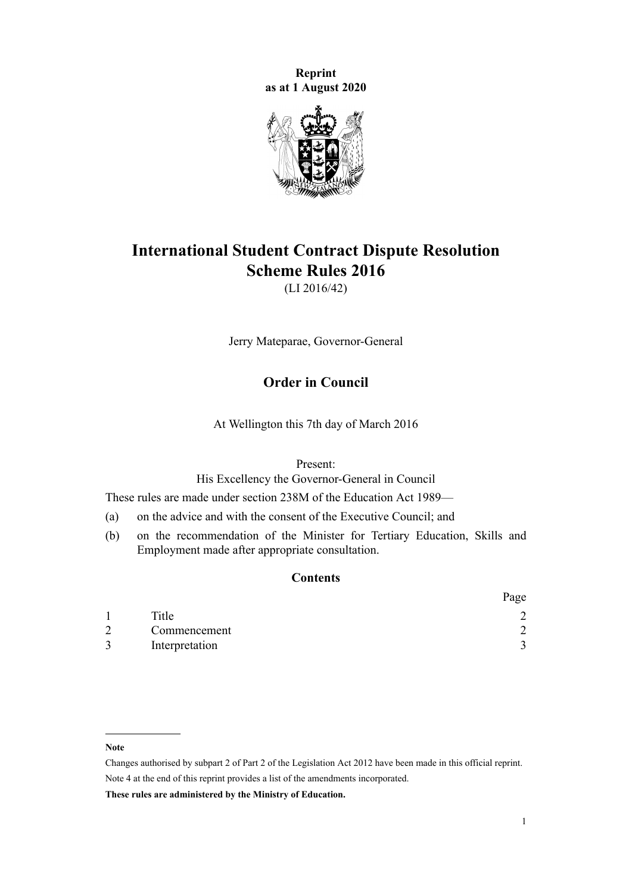**Reprint as at 1 August 2020**



# **International Student Contract Dispute Resolution Scheme Rules 2016**

(LI 2016/42)

Jerry Mateparae, Governor-General

# **Order in Council**

At Wellington this 7th day of March 2016

Present:

His Excellency the Governor-General in Council

These rules are made under [section 238M](http://legislation.govt.nz/pdflink.aspx?id=DLM6890472) of the [Education Act 1989—](http://legislation.govt.nz/pdflink.aspx?id=DLM175958)

- (a) on the advice and with the consent of the Executive Council; and
- (b) on the recommendation of the Minister for Tertiary Education, Skills and Employment made after appropriate consultation.

# **Contents**

|   |                | Page |
|---|----------------|------|
|   | Title          |      |
| 2 | Commencement   |      |
|   | Interpretation |      |

#### **Note**

**These rules are administered by the Ministry of Education.**

Changes authorised by [subpart 2](http://legislation.govt.nz/pdflink.aspx?id=DLM2998524) of Part 2 of the Legislation Act 2012 have been made in this official reprint. Note 4 at the end of this reprint provides a list of the amendments incorporated.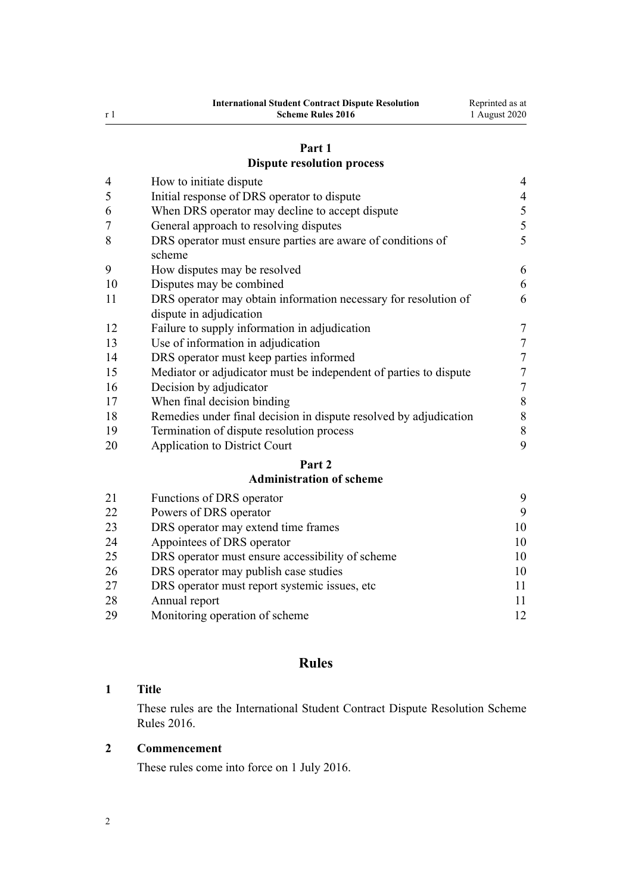# **[Part 1](#page-3-0)**

# **[Dispute resolution process](#page-3-0)**

| $\overline{4}$ | How to initiate dispute                                                                    | $\overline{4}$   |
|----------------|--------------------------------------------------------------------------------------------|------------------|
| 5              | Initial response of DRS operator to dispute                                                | $\overline{4}$   |
| 6              | When DRS operator may decline to accept dispute                                            |                  |
| 7              | General approach to resolving disputes                                                     |                  |
| 8              | DRS operator must ensure parties are aware of conditions of<br>scheme                      | 5                |
| 9              | How disputes may be resolved                                                               | 6                |
| 10             | Disputes may be combined                                                                   | 6                |
| 11             | DRS operator may obtain information necessary for resolution of<br>dispute in adjudication | 6                |
| 12             | Failure to supply information in adjudication                                              | 7                |
| 13             | Use of information in adjudication                                                         | 7                |
| 14             | DRS operator must keep parties informed                                                    | 7                |
| 15             | Mediator or adjudicator must be independent of parties to dispute                          | $\boldsymbol{7}$ |
| 16             | Decision by adjudicator                                                                    | 7                |
| 17             | When final decision binding                                                                | 8                |
| 18             | Remedies under final decision in dispute resolved by adjudication                          | 8                |
| 19             | Termination of dispute resolution process                                                  | 8                |
| 20             | <b>Application to District Court</b>                                                       | 9                |
|                | Part 2                                                                                     |                  |
|                | <b>Administration of scheme</b>                                                            |                  |
| 21             | Functions of DRS operator                                                                  | 9                |
| $\sim$         | $c_{\bf D}$ $\alpha$                                                                       | ⌒                |

| 21 | Functions of DRS operator                        | 9  |
|----|--------------------------------------------------|----|
| 22 | Powers of DRS operator                           | 9  |
| 23 | DRS operator may extend time frames              | 10 |
| 24 | Appointees of DRS operator                       | 10 |
| 25 | DRS operator must ensure accessibility of scheme | 10 |
| 26 | DRS operator may publish case studies            | 10 |
| 27 | DRS operator must report systemic issues, etc.   | 11 |
| 28 | Annual report                                    | 11 |
| 29 | Monitoring operation of scheme                   | 12 |
|    |                                                  |    |

# **Rules**

# **Title**

These rules are the International Student Contract Dispute Resolution Scheme Rules 2016.

# **Commencement**

These rules come into force on 1 July 2016.

<span id="page-1-0"></span>r 1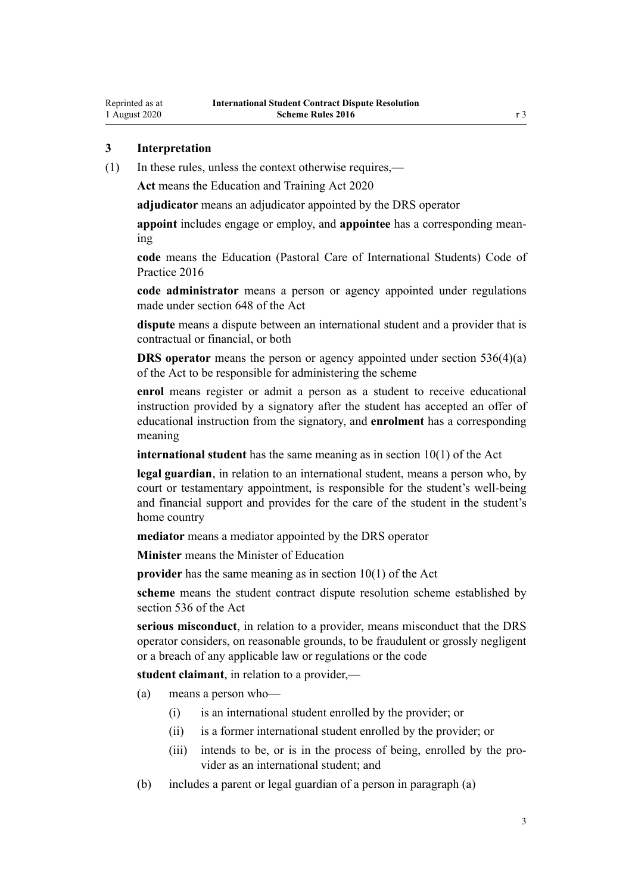# <span id="page-2-0"></span>**3 Interpretation**

(1) In these rules, unless the context otherwise requires,—

**Act** means the [Education and Training Act 2020](http://legislation.govt.nz/pdflink.aspx?id=LMS170674)

**adjudicator** means an adjudicator appointed by the DRS operator

**appoint** includes engage or employ, and **appointee** has a corresponding meaning

**code** means the [Education \(Pastoral Care of International Students\) Code of](http://legislation.govt.nz/pdflink.aspx?id=DLM6748146) [Practice 2016](http://legislation.govt.nz/pdflink.aspx?id=DLM6748146)

**code administrator** means a person or agency appointed under regulations made under [section 648](http://legislation.govt.nz/pdflink.aspx?id=LMS348617) of the Act

**dispute** means a dispute between an international student and a provider that is contractual or financial, or both

**DRS** operator means the person or agency appointed under [section 536\(4\)\(a\)](http://legislation.govt.nz/pdflink.aspx?id=LMS267818) of the Act to be responsible for administering the scheme

**enrol** means register or admit a person as a student to receive educational instruction provided by a signatory after the student has accepted an offer of educational instruction from the signatory, and **enrolment** has a corresponding meaning

**international student** has the same meaning as in [section 10\(1\)](http://legislation.govt.nz/pdflink.aspx?id=LMS171311) of the Act

**legal guardian**, in relation to an international student, means a person who, by court or testamentary appointment, is responsible for the student's well-being and financial support and provides for the care of the student in the student's home country

**mediator** means a mediator appointed by the DRS operator

**Minister** means the Minister of Education

**provider** has the same meaning as in [section 10\(1\)](http://legislation.govt.nz/pdflink.aspx?id=LMS171311) of the Act

**scheme** means the student contract dispute resolution scheme established by [section 536](http://legislation.govt.nz/pdflink.aspx?id=LMS267818) of the Act

**serious misconduct**, in relation to a provider, means misconduct that the DRS operator considers, on reasonable grounds, to be fraudulent or grossly negligent or a breach of any applicable law or regulations or the code

**student claimant**, in relation to a provider,—

(a) means a person who—

- (i) is an international student enrolled by the provider; or
- (ii) is a former international student enrolled by the provider; or
- (iii) intends to be, or is in the process of being, enrolled by the provider as an international student; and
- (b) includes a parent or legal guardian of a person in paragraph (a)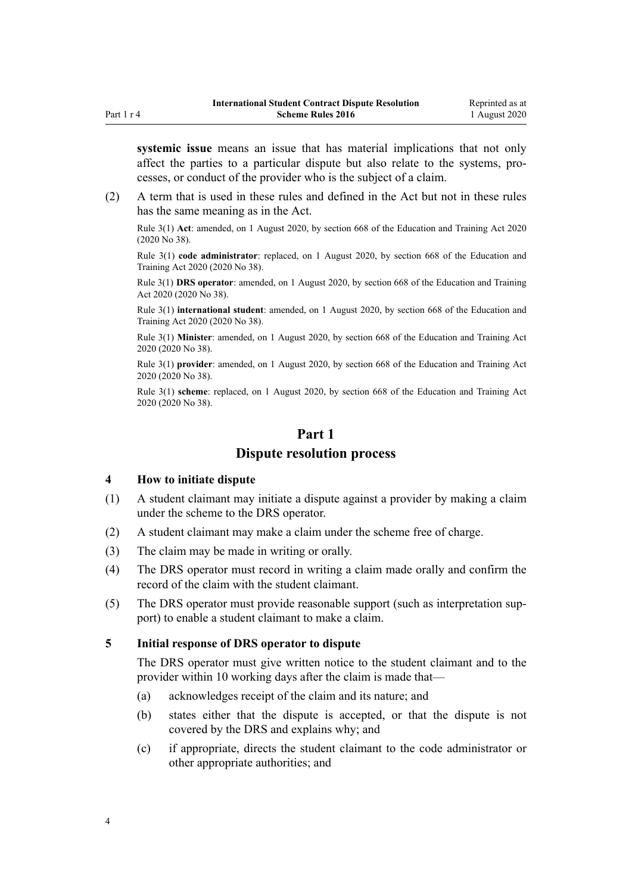<span id="page-3-0"></span>**systemic issue** means an issue that has material implications that not only affect the parties to a particular dispute but also relate to the systems, processes, or conduct of the provider who is the subject of a claim.

(2) A term that is used in these rules and defined in the Act but not in these rules has the same meaning as in the Act.

Rule 3(1) **Act**: amended, on 1 August 2020, by [section 668](http://legislation.govt.nz/pdflink.aspx?id=LMS367713) of the Education and Training Act 2020 (2020 No 38).

Rule 3(1) **code administrator**: replaced, on 1 August 2020, by [section 668](http://legislation.govt.nz/pdflink.aspx?id=LMS367713) of the Education and Training Act 2020 (2020 No 38).

Rule 3(1) **DRS operator**: amended, on 1 August 2020, by [section 668](http://legislation.govt.nz/pdflink.aspx?id=LMS367713) of the Education and Training Act 2020 (2020 No 38).

Rule 3(1) **international student**: amended, on 1 August 2020, by [section 668](http://legislation.govt.nz/pdflink.aspx?id=LMS367713) of the Education and Training Act 2020 (2020 No 38).

Rule 3(1) **Minister**: amended, on 1 August 2020, by [section 668](http://legislation.govt.nz/pdflink.aspx?id=LMS367713) of the Education and Training Act 2020 (2020 No 38).

Rule 3(1) **provider**: amended, on 1 August 2020, by [section 668](http://legislation.govt.nz/pdflink.aspx?id=LMS367713) of the Education and Training Act 2020 (2020 No 38).

Rule 3(1) **scheme**: replaced, on 1 August 2020, by [section 668](http://legislation.govt.nz/pdflink.aspx?id=LMS367713) of the Education and Training Act 2020 (2020 No 38).

# **Part 1**

# **Dispute resolution process**

#### **4 How to initiate dispute**

- (1) A student claimant may initiate a dispute against a provider by making a claim under the scheme to the DRS operator.
- (2) A student claimant may make a claim under the scheme free of charge.
- (3) The claim may be made in writing or orally.
- (4) The DRS operator must record in writing a claim made orally and confirm the record of the claim with the student claimant.
- (5) The DRS operator must provide reasonable support (such as interpretation support) to enable a student claimant to make a claim.

#### **5 Initial response of DRS operator to dispute**

The DRS operator must give written notice to the student claimant and to the provider within 10 working days after the claim is made that—

- (a) acknowledges receipt of the claim and its nature; and
- (b) states either that the dispute is accepted, or that the dispute is not covered by the DRS and explains why; and
- (c) if appropriate, directs the student claimant to the code administrator or other appropriate authorities; and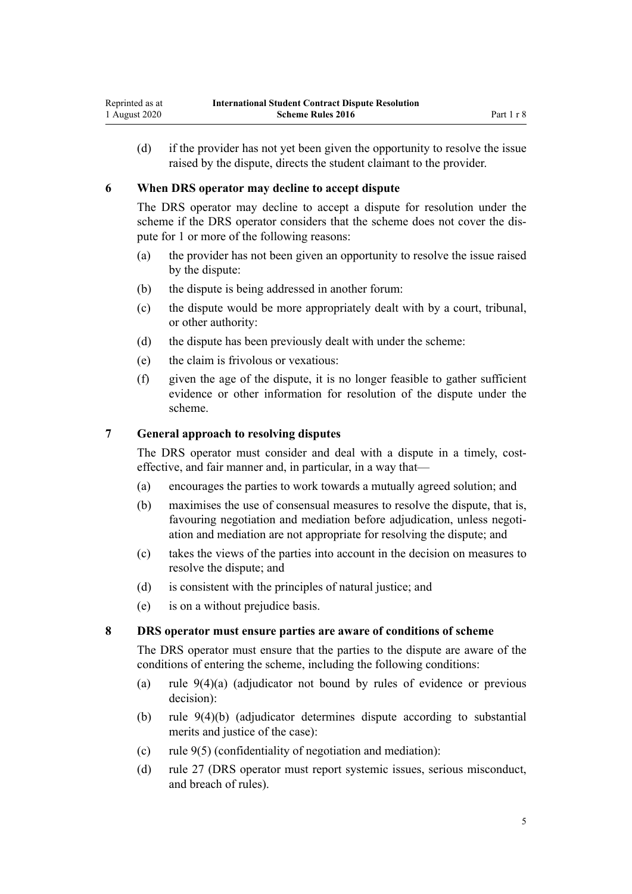<span id="page-4-0"></span>(d) if the provider has not yet been given the opportunity to resolve the issue raised by the dispute, directs the student claimant to the provider.

#### **6 When DRS operator may decline to accept dispute**

The DRS operator may decline to accept a dispute for resolution under the scheme if the DRS operator considers that the scheme does not cover the dispute for 1 or more of the following reasons:

- (a) the provider has not been given an opportunity to resolve the issue raised by the dispute:
- (b) the dispute is being addressed in another forum:
- (c) the dispute would be more appropriately dealt with by a court, tribunal, or other authority:
- (d) the dispute has been previously dealt with under the scheme:
- (e) the claim is frivolous or vexatious:
- (f) given the age of the dispute, it is no longer feasible to gather sufficient evidence or other information for resolution of the dispute under the scheme.

# **7 General approach to resolving disputes**

The DRS operator must consider and deal with a dispute in a timely, costeffective, and fair manner and, in particular, in a way that—

- (a) encourages the parties to work towards a mutually agreed solution; and
- (b) maximises the use of consensual measures to resolve the dispute, that is, favouring negotiation and mediation before adjudication, unless negotiation and mediation are not appropriate for resolving the dispute; and
- (c) takes the views of the parties into account in the decision on measures to resolve the dispute; and
- (d) is consistent with the principles of natural justice; and
- (e) is on a without prejudice basis.

#### **8 DRS operator must ensure parties are aware of conditions of scheme**

The DRS operator must ensure that the parties to the dispute are aware of the conditions of entering the scheme, including the following conditions:

- (a) [rule 9\(4\)\(a\)](#page-5-0) (adjudicator not bound by rules of evidence or previous decision):
- (b) [rule 9\(4\)\(b\)](#page-5-0) (adjudicator determines dispute according to substantial merits and justice of the case):
- (c) [rule 9\(5\)](#page-5-0) (confidentiality of negotiation and mediation):
- (d) [rule 27](#page-10-0) (DRS operator must report systemic issues, serious misconduct, and breach of rules).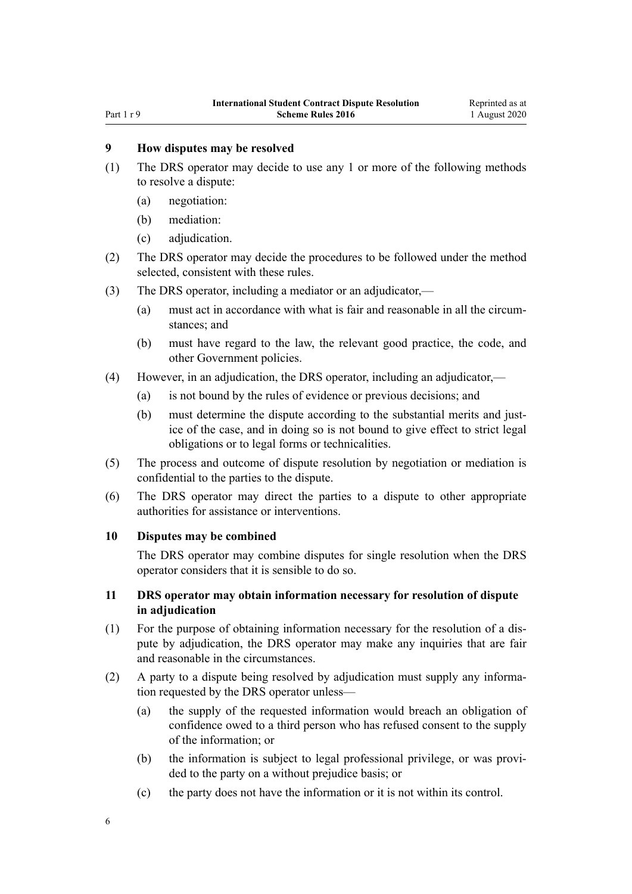#### <span id="page-5-0"></span>Part 1 r 9

# **9 How disputes may be resolved**

- (1) The DRS operator may decide to use any 1 or more of the following methods to resolve a dispute:
	- (a) negotiation:
	- (b) mediation:
	- (c) adjudication.
- (2) The DRS operator may decide the procedures to be followed under the method selected, consistent with these rules.
- (3) The DRS operator, including a mediator or an adjudicator,—
	- (a) must act in accordance with what is fair and reasonable in all the circumstances; and
	- (b) must have regard to the law, the relevant good practice, the code, and other Government policies.
- (4) However, in an adjudication, the DRS operator, including an adjudicator,—
	- (a) is not bound by the rules of evidence or previous decisions; and
	- (b) must determine the dispute according to the substantial merits and justice of the case, and in doing so is not bound to give effect to strict legal obligations or to legal forms or technicalities.
- (5) The process and outcome of dispute resolution by negotiation or mediation is confidential to the parties to the dispute.
- (6) The DRS operator may direct the parties to a dispute to other appropriate authorities for assistance or interventions.

#### **10 Disputes may be combined**

The DRS operator may combine disputes for single resolution when the DRS operator considers that it is sensible to do so.

# **11 DRS operator may obtain information necessary for resolution of dispute in adjudication**

- (1) For the purpose of obtaining information necessary for the resolution of a dispute by adjudication, the DRS operator may make any inquiries that are fair and reasonable in the circumstances.
- (2) A party to a dispute being resolved by adjudication must supply any information requested by the DRS operator unless—
	- (a) the supply of the requested information would breach an obligation of confidence owed to a third person who has refused consent to the supply of the information; or
	- (b) the information is subject to legal professional privilege, or was provided to the party on a without prejudice basis; or
	- (c) the party does not have the information or it is not within its control.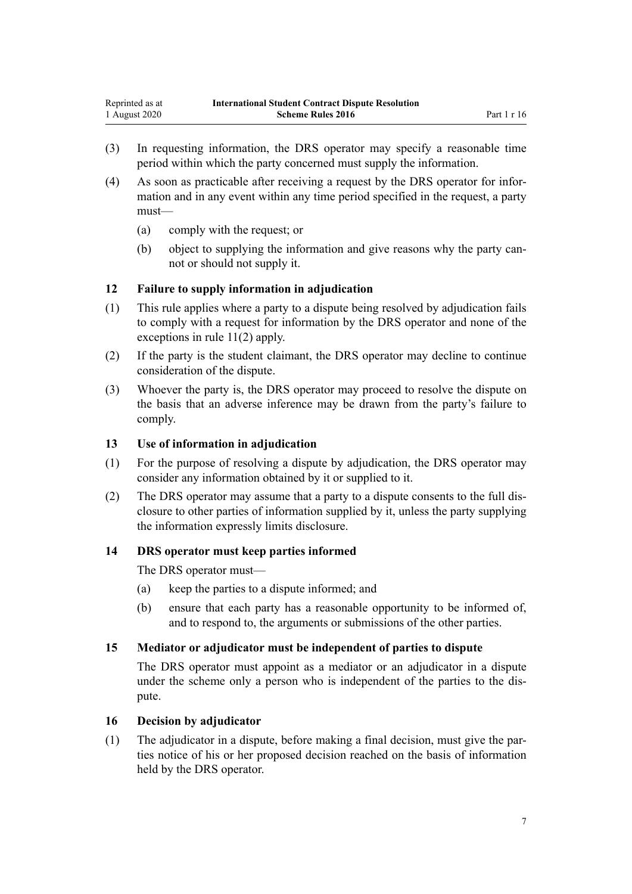- <span id="page-6-0"></span>(3) In requesting information, the DRS operator may specify a reasonable time period within which the party concerned must supply the information.
- (4) As soon as practicable after receiving a request by the DRS operator for information and in any event within any time period specified in the request, a party must—
	- (a) comply with the request; or
	- (b) object to supplying the information and give reasons why the party cannot or should not supply it.

# **12 Failure to supply information in adjudication**

- (1) This rule applies where a party to a dispute being resolved by adjudication fails to comply with a request for information by the DRS operator and none of the exceptions in [rule 11\(2\)](#page-5-0) apply.
- (2) If the party is the student claimant, the DRS operator may decline to continue consideration of the dispute.
- (3) Whoever the party is, the DRS operator may proceed to resolve the dispute on the basis that an adverse inference may be drawn from the party's failure to comply.

#### **13 Use of information in adjudication**

- (1) For the purpose of resolving a dispute by adjudication, the DRS operator may consider any information obtained by it or supplied to it.
- (2) The DRS operator may assume that a party to a dispute consents to the full disclosure to other parties of information supplied by it, unless the party supplying the information expressly limits disclosure.

#### **14 DRS operator must keep parties informed**

The DRS operator must—

- (a) keep the parties to a dispute informed; and
- (b) ensure that each party has a reasonable opportunity to be informed of, and to respond to, the arguments or submissions of the other parties.

#### **15 Mediator or adjudicator must be independent of parties to dispute**

The DRS operator must appoint as a mediator or an adjudicator in a dispute under the scheme only a person who is independent of the parties to the dispute.

#### **16 Decision by adjudicator**

(1) The adjudicator in a dispute, before making a final decision, must give the parties notice of his or her proposed decision reached on the basis of information held by the DRS operator.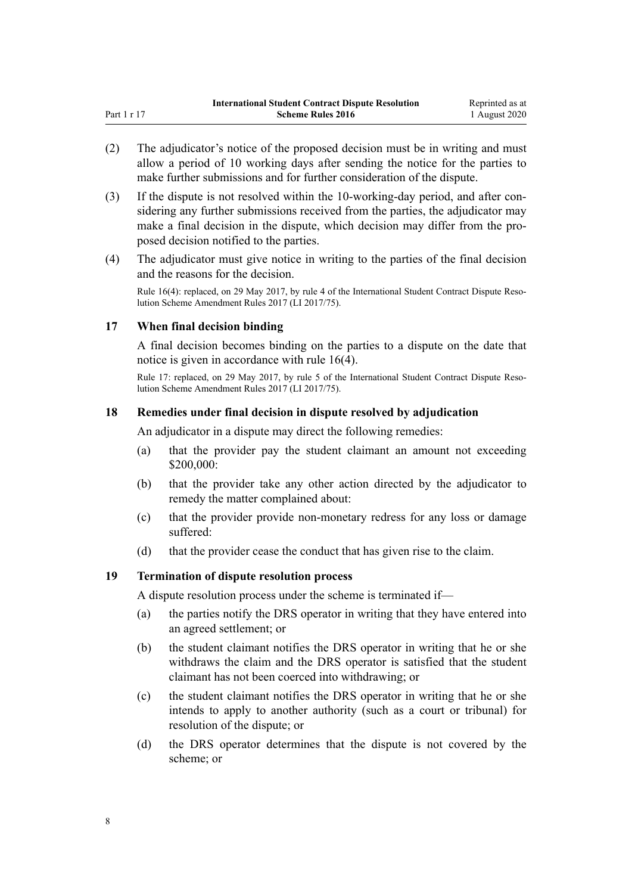- <span id="page-7-0"></span>(2) The adjudicator's notice of the proposed decision must be in writing and must allow a period of 10 working days after sending the notice for the parties to make further submissions and for further consideration of the dispute.
- (3) If the dispute is not resolved within the 10-working-day period, and after considering any further submissions received from the parties, the adjudicator may make a final decision in the dispute, which decision may differ from the proposed decision notified to the parties.
- (4) The adjudicator must give notice in writing to the parties of the final decision and the reasons for the decision.

Rule 16(4): replaced, on 29 May 2017, by [rule 4](http://legislation.govt.nz/pdflink.aspx?id=DLM7210708) of the International Student Contract Dispute Resolution Scheme Amendment Rules 2017 (LI 2017/75).

# **17 When final decision binding**

A final decision becomes binding on the parties to a dispute on the date that notice is given in accordance with [rule 16\(4\).](#page-6-0)

Rule 17: replaced, on 29 May 2017, by [rule 5](http://legislation.govt.nz/pdflink.aspx?id=DLM7210709) of the International Student Contract Dispute Resolution Scheme Amendment Rules 2017 (LI 2017/75).

# **18 Remedies under final decision in dispute resolved by adjudication**

An adjudicator in a dispute may direct the following remedies:

- (a) that the provider pay the student claimant an amount not exceeding \$200,000:
- (b) that the provider take any other action directed by the adjudicator to remedy the matter complained about:
- (c) that the provider provide non-monetary redress for any loss or damage suffered:
- (d) that the provider cease the conduct that has given rise to the claim.

#### **19 Termination of dispute resolution process**

A dispute resolution process under the scheme is terminated if—

- (a) the parties notify the DRS operator in writing that they have entered into an agreed settlement; or
- (b) the student claimant notifies the DRS operator in writing that he or she withdraws the claim and the DRS operator is satisfied that the student claimant has not been coerced into withdrawing; or
- (c) the student claimant notifies the DRS operator in writing that he or she intends to apply to another authority (such as a court or tribunal) for resolution of the dispute; or
- (d) the DRS operator determines that the dispute is not covered by the scheme; or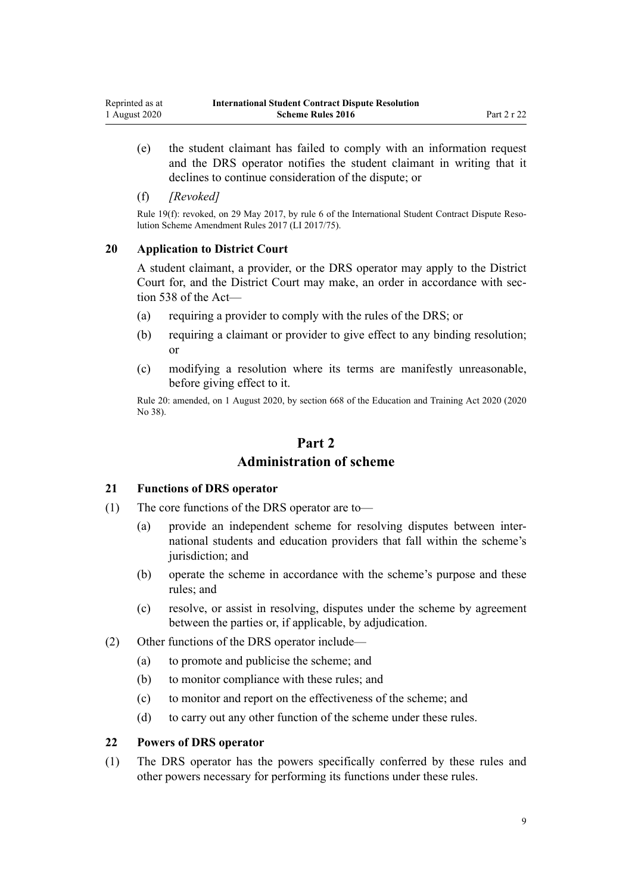- <span id="page-8-0"></span>(e) the student claimant has failed to comply with an information request and the DRS operator notifies the student claimant in writing that it declines to continue consideration of the dispute; or
- (f) *[Revoked]*

Rule 19(f): revoked, on 29 May 2017, by [rule 6](http://legislation.govt.nz/pdflink.aspx?id=DLM7210711) of the International Student Contract Dispute Resolution Scheme Amendment Rules 2017 (LI 2017/75).

#### **20 Application to District Court**

A student claimant, a provider, or the DRS operator may apply to the District Court for, and the District Court may make, an order in accordance with [sec](http://legislation.govt.nz/pdflink.aspx?id=LMS267820)[tion 538](http://legislation.govt.nz/pdflink.aspx?id=LMS267820) of the Act—

- (a) requiring a provider to comply with the rules of the DRS; or
- (b) requiring a claimant or provider to give effect to any binding resolution; or
- (c) modifying a resolution where its terms are manifestly unreasonable, before giving effect to it.

Rule 20: amended, on 1 August 2020, by [section 668](http://legislation.govt.nz/pdflink.aspx?id=LMS367713) of the Education and Training Act 2020 (2020 No 38).

# **Part 2 Administration of scheme**

#### **21 Functions of DRS operator**

- (1) The core functions of the DRS operator are to—
	- (a) provide an independent scheme for resolving disputes between international students and education providers that fall within the scheme's jurisdiction; and
	- (b) operate the scheme in accordance with the scheme's purpose and these rules; and
	- (c) resolve, or assist in resolving, disputes under the scheme by agreement between the parties or, if applicable, by adjudication.
- (2) Other functions of the DRS operator include—
	- (a) to promote and publicise the scheme; and
	- (b) to monitor compliance with these rules; and
	- (c) to monitor and report on the effectiveness of the scheme; and
	- (d) to carry out any other function of the scheme under these rules.

#### **22 Powers of DRS operator**

(1) The DRS operator has the powers specifically conferred by these rules and other powers necessary for performing its functions under these rules.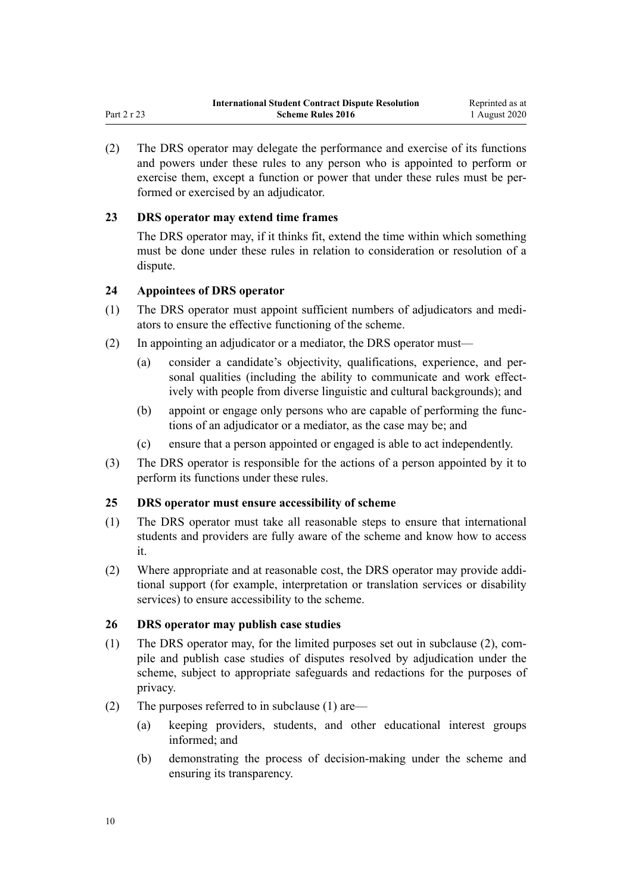<span id="page-9-0"></span>(2) The DRS operator may delegate the performance and exercise of its functions and powers under these rules to any person who is appointed to perform or exercise them, except a function or power that under these rules must be performed or exercised by an adjudicator.

# **23 DRS operator may extend time frames**

The DRS operator may, if it thinks fit, extend the time within which something must be done under these rules in relation to consideration or resolution of a dispute.

# **24 Appointees of DRS operator**

- (1) The DRS operator must appoint sufficient numbers of adjudicators and mediators to ensure the effective functioning of the scheme.
- (2) In appointing an adjudicator or a mediator, the DRS operator must—
	- (a) consider a candidate's objectivity, qualifications, experience, and personal qualities (including the ability to communicate and work effectively with people from diverse linguistic and cultural backgrounds); and
	- (b) appoint or engage only persons who are capable of performing the functions of an adjudicator or a mediator, as the case may be; and
	- (c) ensure that a person appointed or engaged is able to act independently.
- (3) The DRS operator is responsible for the actions of a person appointed by it to perform its functions under these rules.

#### **25 DRS operator must ensure accessibility of scheme**

- (1) The DRS operator must take all reasonable steps to ensure that international students and providers are fully aware of the scheme and know how to access it.
- (2) Where appropriate and at reasonable cost, the DRS operator may provide additional support (for example, interpretation or translation services or disability services) to ensure accessibility to the scheme.

#### **26 DRS operator may publish case studies**

- (1) The DRS operator may, for the limited purposes set out in subclause (2), compile and publish case studies of disputes resolved by adjudication under the scheme, subject to appropriate safeguards and redactions for the purposes of privacy.
- (2) The purposes referred to in subclause (1) are—
	- (a) keeping providers, students, and other educational interest groups informed; and
	- (b) demonstrating the process of decision-making under the scheme and ensuring its transparency.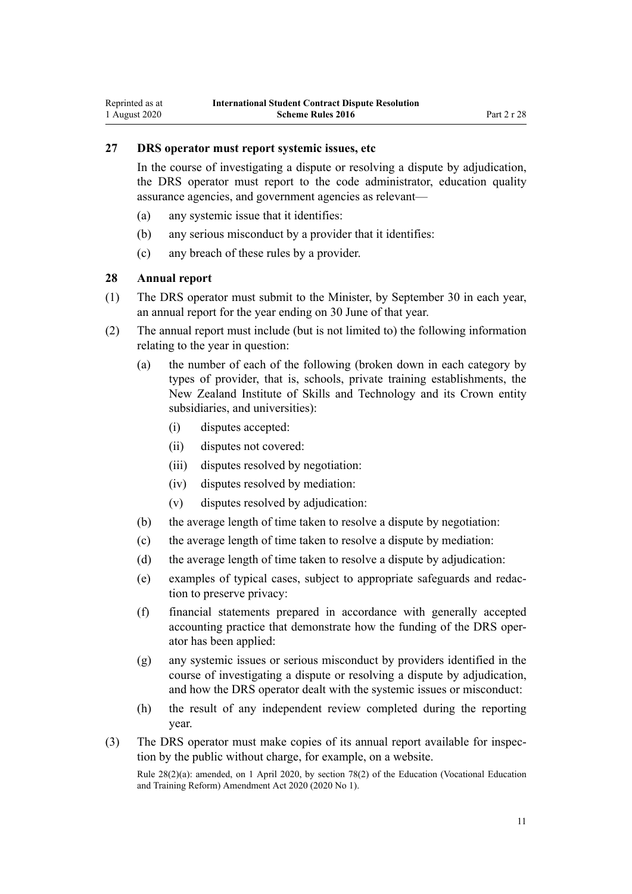# <span id="page-10-0"></span>**27 DRS operator must report systemic issues, etc**

In the course of investigating a dispute or resolving a dispute by adjudication, the DRS operator must report to the code administrator, education quality assurance agencies, and government agencies as relevant—

- (a) any systemic issue that it identifies:
- (b) any serious misconduct by a provider that it identifies:
- (c) any breach of these rules by a provider.

# **28 Annual report**

- (1) The DRS operator must submit to the Minister, by September 30 in each year, an annual report for the year ending on 30 June of that year.
- (2) The annual report must include (but is not limited to) the following information relating to the year in question:
	- (a) the number of each of the following (broken down in each category by types of provider, that is, schools, private training establishments, the New Zealand Institute of Skills and Technology and its Crown entity subsidiaries, and universities):
		- (i) disputes accepted:
		- (ii) disputes not covered:
		- (iii) disputes resolved by negotiation:
		- (iv) disputes resolved by mediation:
		- (v) disputes resolved by adjudication:
	- (b) the average length of time taken to resolve a dispute by negotiation:
	- (c) the average length of time taken to resolve a dispute by mediation:
	- (d) the average length of time taken to resolve a dispute by adjudication:
	- (e) examples of typical cases, subject to appropriate safeguards and redaction to preserve privacy:
	- (f) financial statements prepared in accordance with generally accepted accounting practice that demonstrate how the funding of the DRS operator has been applied:
	- (g) any systemic issues or serious misconduct by providers identified in the course of investigating a dispute or resolving a dispute by adjudication, and how the DRS operator dealt with the systemic issues or misconduct:
	- (h) the result of any independent review completed during the reporting year.
- (3) The DRS operator must make copies of its annual report available for inspection by the public without charge, for example, on a website. Rule 28(2)(a): amended, on 1 April 2020, by [section 78\(2\)](http://legislation.govt.nz/pdflink.aspx?id=LMS245981) of the Education (Vocational Education and Training Reform) Amendment Act 2020 (2020 No 1).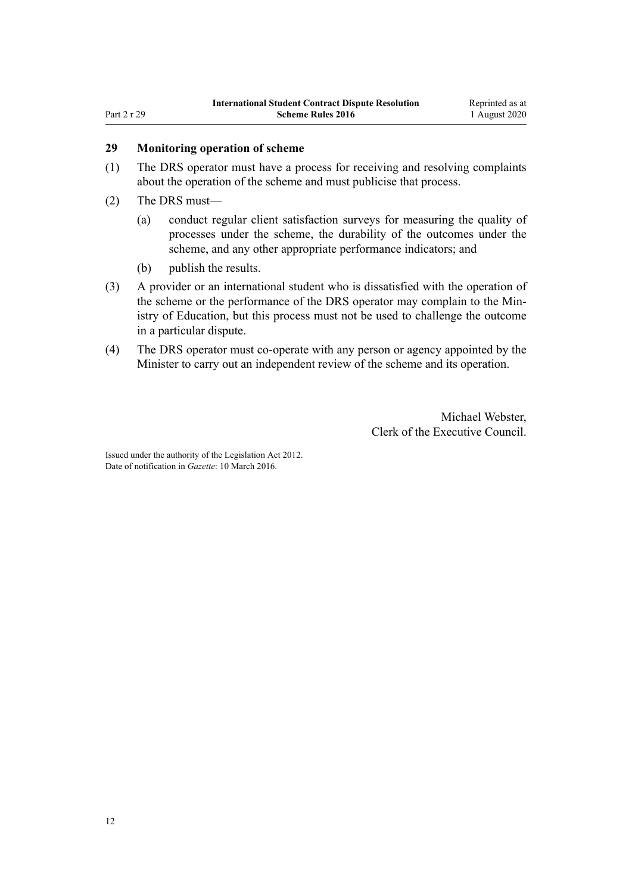# **29 Monitoring operation of scheme**

- (1) The DRS operator must have a process for receiving and resolving complaints about the operation of the scheme and must publicise that process.
- (2) The DRS must—

<span id="page-11-0"></span>Part 2 r 29

- (a) conduct regular client satisfaction surveys for measuring the quality of processes under the scheme, the durability of the outcomes under the scheme, and any other appropriate performance indicators; and
- (b) publish the results.
- (3) A provider or an international student who is dissatisfied with the operation of the scheme or the performance of the DRS operator may complain to the Ministry of Education, but this process must not be used to challenge the outcome in a particular dispute.
- (4) The DRS operator must co-operate with any person or agency appointed by the Minister to carry out an independent review of the scheme and its operation.

Michael Webster, Clerk of the Executive Council.

Issued under the authority of the [Legislation Act 2012](http://legislation.govt.nz/pdflink.aspx?id=DLM2997643). Date of notification in *Gazette*: 10 March 2016.